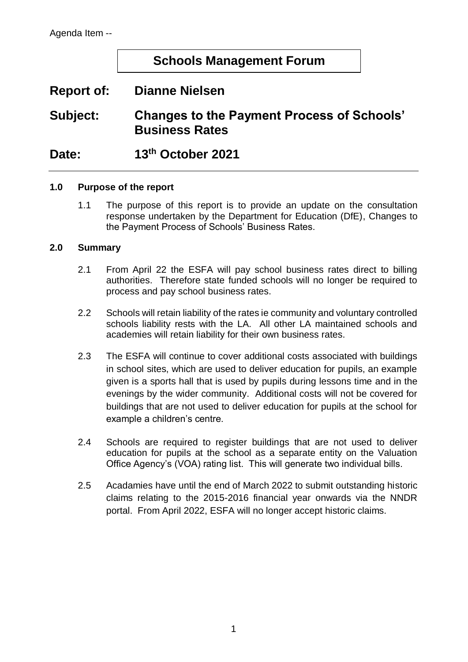# **Schools Management Forum**

# **Report of: Dianne Nielsen**

**Subject: Changes to the Payment Process of Schools' Business Rates**

**Date: 13th October 2021**

#### **1.0 Purpose of the report**

1.1 The purpose of this report is to provide an update on the consultation response undertaken by the Department for Education (DfE), Changes to the Payment Process of Schools' Business Rates.

#### **2.0 Summary**

- 2.1 From April 22 the ESFA will pay school business rates direct to billing authorities. Therefore state funded schools will no longer be required to process and pay school business rates.
- 2.2 Schools will retain liability of the rates ie community and voluntary controlled schools liability rests with the LA. All other LA maintained schools and academies will retain liability for their own business rates.
- 2.3 The ESFA will continue to cover additional costs associated with buildings in school sites, which are used to deliver education for pupils, an example given is a sports hall that is used by pupils during lessons time and in the evenings by the wider community. Additional costs will not be covered for buildings that are not used to deliver education for pupils at the school for example a children's centre.
- 2.4 Schools are required to register buildings that are not used to deliver education for pupils at the school as a separate entity on the Valuation Office Agency's (VOA) rating list. This will generate two individual bills.
- 2.5 Acadamies have until the end of March 2022 to submit outstanding historic claims relating to the 2015-2016 financial year onwards via the NNDR portal. From April 2022, ESFA will no longer accept historic claims.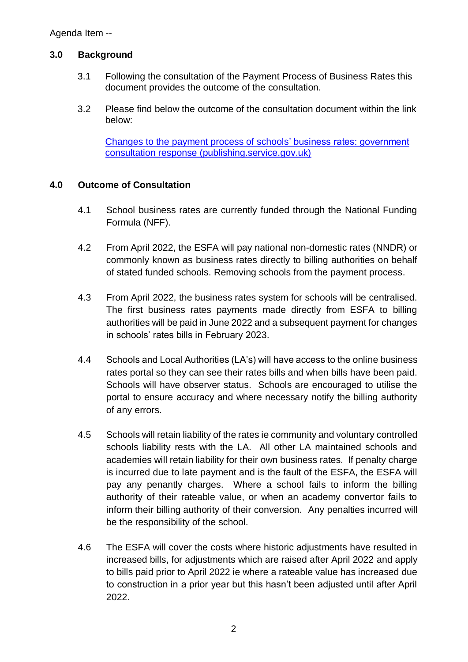### **3.0 Background**

- 3.1 Following the consultation of the Payment Process of Business Rates this document provides the outcome of the consultation.
- 3.2 Please find below the outcome of the consultation document within the link below:

[Changes to the payment process of schools' business rates: government](https://assets.publishing.service.gov.uk/government/uploads/system/uploads/attachment_data/file/1011171/Changes_to_the_payment_process_of_schools__business_rates_-_government_consultation_response.pdf)  [consultation response \(publishing.service.gov.uk\)](https://assets.publishing.service.gov.uk/government/uploads/system/uploads/attachment_data/file/1011171/Changes_to_the_payment_process_of_schools__business_rates_-_government_consultation_response.pdf)

### **4.0 Outcome of Consultation**

- 4.1 School business rates are currently funded through the National Funding Formula (NFF).
- 4.2 From April 2022, the ESFA will pay national non-domestic rates (NNDR) or commonly known as business rates directly to billing authorities on behalf of stated funded schools. Removing schools from the payment process.
- 4.3 From April 2022, the business rates system for schools will be centralised. The first business rates payments made directly from ESFA to billing authorities will be paid in June 2022 and a subsequent payment for changes in schools' rates bills in February 2023.
- 4.4 Schools and Local Authorities (LA's) will have access to the online business rates portal so they can see their rates bills and when bills have been paid. Schools will have observer status. Schools are encouraged to utilise the portal to ensure accuracy and where necessary notify the billing authority of any errors.
- 4.5 Schools will retain liability of the rates ie community and voluntary controlled schools liability rests with the LA. All other LA maintained schools and academies will retain liability for their own business rates. If penalty charge is incurred due to late payment and is the fault of the ESFA, the ESFA will pay any penantly charges. Where a school fails to inform the billing authority of their rateable value, or when an academy convertor fails to inform their billing authority of their conversion. Any penalties incurred will be the responsibility of the school.
- 4.6 The ESFA will cover the costs where historic adjustments have resulted in increased bills, for adjustments which are raised after April 2022 and apply to bills paid prior to April 2022 ie where a rateable value has increased due to construction in a prior year but this hasn't been adjusted until after April 2022.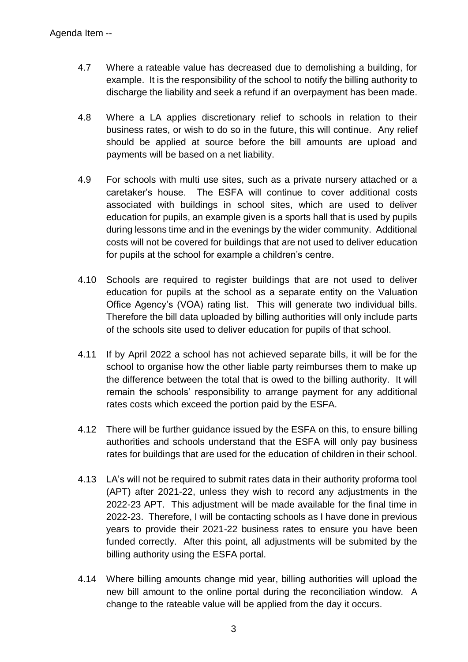- 4.7 Where a rateable value has decreased due to demolishing a building, for example. It is the responsibility of the school to notify the billing authority to discharge the liability and seek a refund if an overpayment has been made.
- 4.8 Where a LA applies discretionary relief to schools in relation to their business rates, or wish to do so in the future, this will continue. Any relief should be applied at source before the bill amounts are upload and payments will be based on a net liability.
- 4.9 For schools with multi use sites, such as a private nursery attached or a caretaker's house. The ESFA will continue to cover additional costs associated with buildings in school sites, which are used to deliver education for pupils, an example given is a sports hall that is used by pupils during lessons time and in the evenings by the wider community. Additional costs will not be covered for buildings that are not used to deliver education for pupils at the school for example a children's centre.
- 4.10 Schools are required to register buildings that are not used to deliver education for pupils at the school as a separate entity on the Valuation Office Agency's (VOA) rating list. This will generate two individual bills. Therefore the bill data uploaded by billing authorities will only include parts of the schools site used to deliver education for pupils of that school.
- 4.11 If by April 2022 a school has not achieved separate bills, it will be for the school to organise how the other liable party reimburses them to make up the difference between the total that is owed to the billing authority. It will remain the schools' responsibility to arrange payment for any additional rates costs which exceed the portion paid by the ESFA.
- 4.12 There will be further guidance issued by the ESFA on this, to ensure billing authorities and schools understand that the ESFA will only pay business rates for buildings that are used for the education of children in their school.
- 4.13 LA's will not be required to submit rates data in their authority proforma tool (APT) after 2021-22, unless they wish to record any adjustments in the 2022-23 APT. This adjustment will be made available for the final time in 2022-23. Therefore, I will be contacting schools as I have done in previous years to provide their 2021-22 business rates to ensure you have been funded correctly. After this point, all adjustments will be submited by the billing authority using the ESFA portal.
- 4.14 Where billing amounts change mid year, billing authorities will upload the new bill amount to the online portal during the reconciliation window. A change to the rateable value will be applied from the day it occurs.